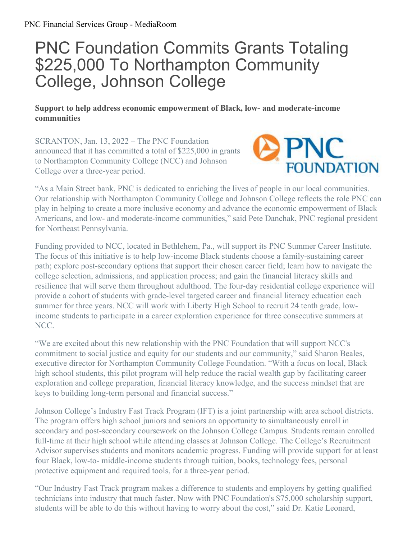## PNC Foundation Commits Grants Totaling \$225,000 To Northampton Community College, Johnson College

## **Support to help address economic empowerment of Black, low- and moderate-income communities**

SCRANTON, Jan. 13, 2022 – The PNC Foundation announced that it has committed a total of \$225,000 in grants to Northampton Community College (NCC) and Johnson College over a three-year period.



"As a Main Street bank, PNC is dedicated to enriching the lives of people in our local communities. Our relationship with Northampton Community College and Johnson College reflects the role PNC can play in helping to create a more inclusive economy and advance the economic empowerment of Black Americans, and low- and moderate-income communities," said Pete Danchak, PNC regional president for Northeast Pennsylvania.

Funding provided to NCC, located in Bethlehem, Pa., will support its PNC Summer Career Institute. The focus of this initiative is to help low-income Black students choose a family-sustaining career path; explore post-secondary options that support their chosen career field; learn how to navigate the college selection, admissions, and application process; and gain the financial literacy skills and resilience that will serve them throughout adulthood. The four-day residential college experience will provide a cohort of students with grade-level targeted career and financial literacy education each summer for three years. NCC will work with Liberty High School to recruit 24 tenth grade, lowincome students to participate in a career exploration experience for three consecutive summers at NCC.

"We are excited about this new relationship with the PNC Foundation that will support NCC's commitment to social justice and equity for our students and our community," said Sharon Beales, executive director for Northampton Community College Foundation. "With a focus on local, Black high school students, this pilot program will help reduce the racial wealth gap by facilitating career exploration and college preparation, financial literacy knowledge, and the success mindset that are keys to building long-term personal and financial success."

Johnson College's Industry Fast Track Program (IFT) is a joint partnership with area school districts. The program offers high school juniors and seniors an opportunity to simultaneously enroll in secondary and post-secondary coursework on the Johnson College Campus. Students remain enrolled full-time at their high school while attending classes at Johnson College. The College's Recruitment Advisor supervises students and monitors academic progress. Funding will provide support for at least four Black, low-to- middle-income students through tuition, books, technology fees, personal protective equipment and required tools, for a three-year period.

"Our Industry Fast Track program makes a difference to students and employers by getting qualified technicians into industry that much faster. Now with PNC Foundation's \$75,000 scholarship support, students will be able to do this without having to worry about the cost," said Dr. Katie Leonard,